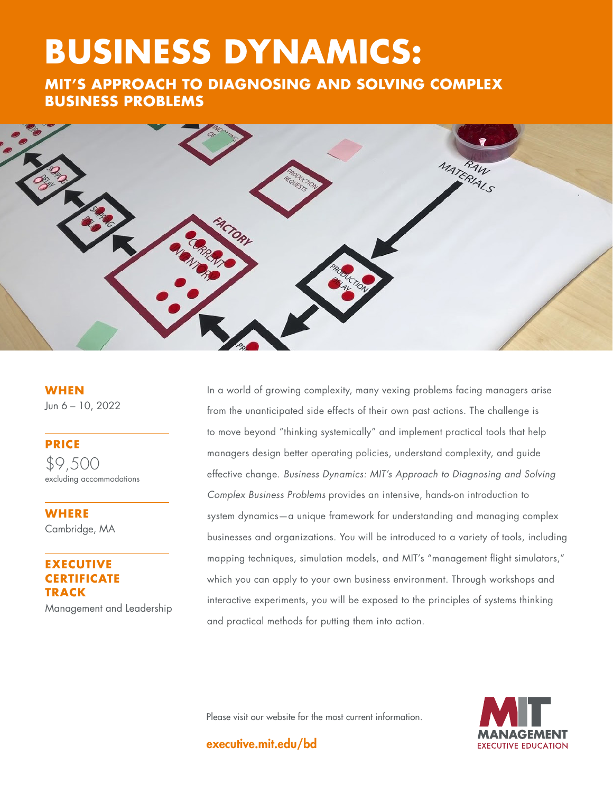# **BUSINESS DYNAMICS:**

**THE GOOD OF A RIGHT COOP OF A RIGHT COOP OF A RIGHT COOP OF A RIGHT COOP OF A RIGHT COOP OF A RIGHT COOP OF A RIGHT COOP OF A RIGHT COOP OF A RIGHT COOP OF A RIGHT COOP OF A RIGHT COOP OF A RIGHT COOP OF A RIGHT COOP OF A BUSINESS PROBLEMS** 



**WHEN** Jun 6 – 10, 2022

**PRICE** \$9,500 excluding accommodations

**WHERE**  Cambridge, MA

## **EXECUTIVE RTIFICATE TRACK**

Management and Leadership

In a world of growing complexity, many vexing problems facing managers arise from the unanticipated side effects of their own past actions. The challenge is to move beyond "thinking systemically" and implement practical tools that help managers design better operating policies, understand complexity, and guide effective change. *Business Dynamics: MIT's Approach to Diagnosing and Solving Complex Business Problems* provides an intensive, hands-on introduction to system dynamics—a unique framework for understanding and managing complex businesses and organizations. You will be introduced to a variety of tools, including mapping techniques, simulation models, and MIT's "management flight simulators," which you can apply to your own business environment. Through workshops and interactive experiments, you will be exposed to the principles of systems thinking and practical methods for putting them into action.

Please visit our website for the most current information.



executive.mit.edu/bd